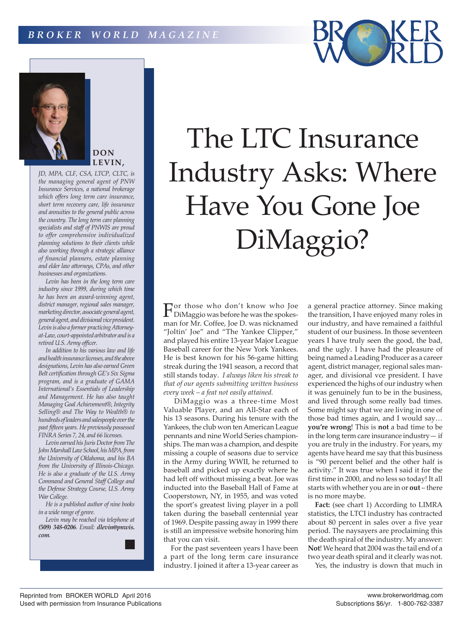



# **DON LEVIN,**

*JD, MPA, CLF, CSA, LTCP, CLTC, is the managing general agent of PNW Insurance Services, a national brokerage which offers long term care insurance, short term recovery care, life insurance and annuities to the general public across the country. The long term care planning specialists and staff of PNWIS are proud to offer comprehensive individualized planning solutions to their clients while also working through a strategic alliance of financial planners, estate planning and elder law attorneys, CPAs, and other businesses and organizations.* 

*Levin has been in the long term care industry since 1999, during which time he has been an award-winning agent, district manager, regional sales manager, marketing director, associate general agent, general agent, and divisional vice president. Levin is also a former practicing Attorneyat-Law, court-appointed arbitrator and is a retired U.S. Army officer.*

*In addition to his various law and life and health insurance licenses, and the above designations, Levin has also earned Green Belt certification through GE's Six Sigma program, and is a graduate of GAMA International's Essentials of Leadership and Management. He has also taught Managing Goal Achievement®, Integrity Selling® and The Way to Wealth® to hundreds of leaders and salespeople over the past fifteen years. He previously possessed FINRA Series 7, 24, and 66 licenses.*

*Levin earned his Juris Doctor from The John Marshall Law School, his MPA, from the University of Oklahoma, and his BA from the University of Illinois-Chicago. He is also a graduate of the U.S. Army Command and General Staff College and the Defense Strategy Course, U.S. Army War College.* 

*He is a published author of nine books in a wide range of genre.*

*Levin may be reached via telephone at (509) 348-0206. Email: dlevin@pnwis. com.*

# The LTC Insurance Industry Asks: Where Have You Gone Joe DiMaggio?

For those who don't know who Joe DiMaggio was before he was the spokesman for Mr. Coffee, Joe D. was nicknamed "Joltin' Joe" and "The Yankee Clipper," and played his entire 13-year Major League Baseball career for the New York Yankees. He is best known for his 56-game hitting streak during the 1941 season, a record that still stands today. *I always liken his streak to that of our agents submitting written business every week – a feat not easily attained.*

 DiMaggio was a three-time Most Valuable Player, and an All-Star each of his 13 seasons. During his tenure with the Yankees, the club won ten American League pennants and nine World Series championships. The man was a champion, and despite missing a couple of seasons due to service in the Army during WWII, he returned to baseball and picked up exactly where he had left off without missing a beat. Joe was inducted into the Baseball Hall of Fame at Cooperstown, NY, in 1955, and was voted the sport's greatest living player in a poll taken during the baseball centennial year of 1969. Despite passing away in 1999 there is still an impressive website honoring him that you can visit.

For the past seventeen years I have been a part of the long term care insurance industry. I joined it after a 13-year career as a general practice attorney. Since making the transition, I have enjoyed many roles in our industry, and have remained a faithful student of our business. In those seventeen years I have truly seen the good, the bad, and the ugly. I have had the pleasure of being named a Leading Producer as a career agent, district manager, regional sales manager, and divisional vce president. I have experienced the highs of our industry when it was genuinely fun to be in the business, and lived through some really bad times. Some might say that we are living in one of those bad times again, and I would say… **you're wrong**! This is **not** a bad time to be in the long term care insurance industry— if you are truly in the industry. For years, my agents have heard me say that this business is "90 percent belief and the other half is activity." It was true when I said it for the first time in 2000, and no less so today! It all starts with whether you are in or **out** – there is no more maybe.

**Fact:** (see chart 1) According to LIMRA statistics, the LTCI industry has contracted about 80 percent in sales over a five year period. The naysayers are proclaiming this the death spiral of the industry. My answer: **Not**! We heard that 2004 was the tail end of a two year death spiral and it clearly was not.

Yes, the industry is down that much in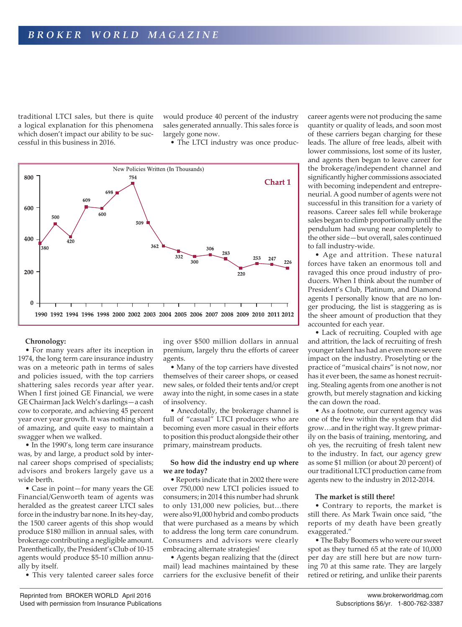traditional LTCI sales, but there is quite a logical explanation for this phenomena which dosen't impact our ability to be successful in this business in 2016.

would produce 40 percent of the industry sales generated annually. This sales force is largely gone now.

• The LTCI industry was once produc-



### **Chronology:**

• For many years after its inception in 1974, the long term care insurance industry was on a meteoric path in terms of sales and policies issued, with the top carriers shattering sales records year after year. When I first joined GE Financial, we were GE Chairman Jack Welch's darlings—a cash cow to corporate, and achieving 45 percent year over year growth. It was nothing short of amazing, and quite easy to maintain a swagger when we walked.

• In the 1990's, long term care insurance was, by and large, a product sold by internal career shops comprised of specialists; advisors and brokers largely gave us a wide berth.

• Case in point—for many years the GE Financial/Genworth team of agents was heralded as the greatest career LTCI sales force in the industry bar none. In its hey-day, the 1500 career agents of this shop would produce \$180 million in annual sales, with brokerage contributing a negligible amount. Parenthetically, the President's Club of 10-15 agents would produce \$5-10 million annually by itself.

• This very talented career sales force

ing over \$500 million dollars in annual premium, largely thru the efforts of career agents.

• Many of the top carriers have divested themselves of their career shops, or ceased new sales, or folded their tents and/or crept away into the night, in some cases in a state of insolvency.

• Anecdotally, the brokerage channel is full of "casual" LTCI producers who are becoming even more casual in their efforts to position this product alongside their other primary, mainstream products.

#### **So how did the industry end up where we are today?**

• Reports indicate that in 2002 there were over 750,000 new LTCI policies issued to consumers; in 2014 this number had shrunk to only 131,000 new policies, but…there were also 91,000 hybrid and combo products that were purchased as a means by which to address the long term care conundrum. Consumers and advisors were clearly embracing alternate strategies!

• Agents began realizing that the (direct mail) lead machines maintained by these carriers for the exclusive benefit of their career agents were not producing the same quantity or quality of leads, and soon most of these carriers began charging for these leads. The allure of free leads, albeit with lower commissions, lost some of its luster, and agents then began to leave career for the brokerage/independent channel and significantly higher commissions associated with becoming independent and entrepreneurial. A good number of agents were not successful in this transition for a variety of reasons. Career sales fell while brokerage sales began to climb proportionally until the pendulum had swung near completely to the other side—but overall, sales continued to fall industry-wide.

• Age and attrition. These natural forces have taken an enormous toll and ravaged this once proud industry of producers. When I think about the number of President's Club, Platinum, and Diamond agents I personally know that are no longer producing, the list is staggering as is the sheer amount of production that they accounted for each year.

• Lack of recruiting. Coupled with age and attrition, the lack of recruiting of fresh younger talent has had an even more severe impact on the industry. Proselyting or the practice of "musical chairs" is not now, nor has it ever been, the same as honest recruiting. Stealing agents from one another is not growth, but merely stagnation and kicking the can down the road.

• As a footnote, our current agency was one of the few within the system that did grow…and in the right way. It grew primarily on the basis of training, mentoring, and oh yes, the recruiting of fresh talent new to the industry. In fact, our agency grew as some \$1 million (or about 20 percent) of our traditional LTCI production came from agents new to the industry in 2012-2014.

#### **The market is still there!**

• Contrary to reports, the market is still there. As Mark Twain once said, "the reports of my death have been greatly exaggerated."

• The Baby Boomers who were our sweet spot as they turned 65 at the rate of 10,000 per day are still here but are now turning 70 at this same rate. They are largely retired or retiring, and unlike their parents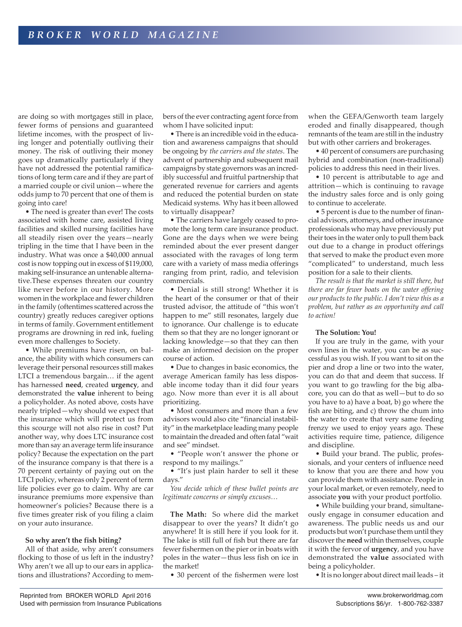are doing so with mortgages still in place, fewer forms of pensions and guaranteed lifetime incomes, with the prospect of living longer and potentially outliving their money. The risk of outliving their money goes up dramatically particularly if they have not addressed the potential ramifications of long term care and if they are part of a married couple or civil union—where the odds jump to 70 percent that one of them is going into care!

• The need is greater than ever! The costs associated with home care, assisted living facilities and skilled nursing facilities have all steadily risen over the years—nearly tripling in the time that I have been in the industry. What was once a \$40,000 annual cost is now topping out in excess of \$119,000, making self-insurance an untenable alternative.These expenses threaten our country like never before in our history. More women in the workplace and fewer children in the family (oftentimes scattered across the country) greatly reduces caregiver options in terms of family. Government entitlement programs are drowning in red ink, fueling even more challenges to Society.

• While premiums have risen, on balance, the ability with which consumers can leverage their personal resources still makes LTCI a tremendous bargain… if the agent has harnessed **need**, created **urgency**, and demonstrated the **value** inherent to being a policyholder. As noted above, costs have nearly tripled—why should we expect that the insurance which will protect us from this scourge will not also rise in cost? Put another way, why does LTC insurance cost more than say an average term life insurance policy? Because the expectation on the part of the insurance company is that there is a 70 percent certainty of paying out on the LTCI policy, whereas only 2 percent of term life policies ever go to claim. Why are car insurance premiums more expensive than homeowner's policies? Because there is a five times greater risk of you filing a claim on your auto insurance.

#### **So why aren't the fish biting?**

All of that aside, why aren't consumers flocking to those of us left in the industry? Why aren't we all up to our ears in applications and illustrations? According to members of the ever contracting agent force from whom I have solicited input:

• There is an incredible void in the education and awareness campaigns that should be ongoing by *the carriers and the states*. The advent of partnership and subsequent mail campaigns by state governors was an incredibly successful and fruitful partnership that generated revenue for carriers and agents and reduced the potential burden on state Medicaid systems. Why has it been allowed to virtually disappear?

• The carriers have largely ceased to promote the long term care insurance product. Gone are the days when we were being reminded about the ever present danger associated with the ravages of long term care with a variety of mass media offerings ranging from print, radio, and television commercials.

• Denial is still strong! Whether it is the heart of the consumer or that of their trusted advisor, the attitude of "this won't happen to me" still resonates, largely due to ignorance. Our challenge is to educate them so that they are no longer ignorant or lacking knowledge—so that they can then make an informed decision on the proper course of action.

• Due to changes in basic economics, the average American family has less disposable income today than it did four years ago. Now more than ever it is all about prioritizing.

• Most consumers and more than a few advisors would also cite "financial instability" in the marketplace leading many people to maintain the dreaded and often fatal "wait and see" mindset.

• "People won't answer the phone or respond to my mailings."

• "It's just plain harder to sell it these days."

*You decide which of these bullet points are legitimate concerns or simply excuses…*

**The Math:** So where did the market disappear to over the years? It didn't go anywhere! It is still here if you look for it. The lake is still full of fish but there are far fewer fishermen on the pier or in boats with poles in the water—thus less fish on ice in the market!

• 30 percent of the fishermen were lost

when the GEFA/Genworth team largely eroded and finally disappeared, though remnants of the team are still in the industry but with other carriers and brokerages.

• 40 percent of consumers are purchasing hybrid and combination (non-traditional) policies to address this need in their lives.

• 10 percent is attributable to age and attrition—which is continuing to ravage the industry sales force and is only going to continue to accelerate.

• 5 percent is due to the number of financial advisors, attorneys, and other insurance professionals who may have previously put their toes in the water only to pull them back out due to a change in product offerings that served to make the product even more "complicated" to understand, much less position for a sale to their clients.

*The result is that the market is still there, but there are far fewer boats on the water offering our products to the public. I don't view this as a problem, but rather as an opportunity and call to action!*

#### **The Solution: You!**

If you are truly in the game, with your own lines in the water, you can be as successful as you wish. If you want to sit on the pier and drop a line or two into the water, you can do that and deem that success. If you want to go trawling for the big albacore, you can do that as well—but to do so you have to a) have a boat, b) go where the fish are biting, and c) throw the chum into the water to create that very same feeding frenzy we used to enjoy years ago. These activities require time, patience, diligence and discipline.

• Build your brand. The public, professionals, and your centers of influence need to know that you are there and how you can provide them with assistance. People in your local market, or even remotely, need to associate **you** with your product portfolio.

• While building your brand, simultaneously engage in consumer education and awareness. The public needs us and our products but won't purchase them until they discover the **need** within themselves, couple it with the fervor of **urgency**, and you have demonstrated the **value** associated with being a policyholder.

• It is no longer about direct mail leads – it